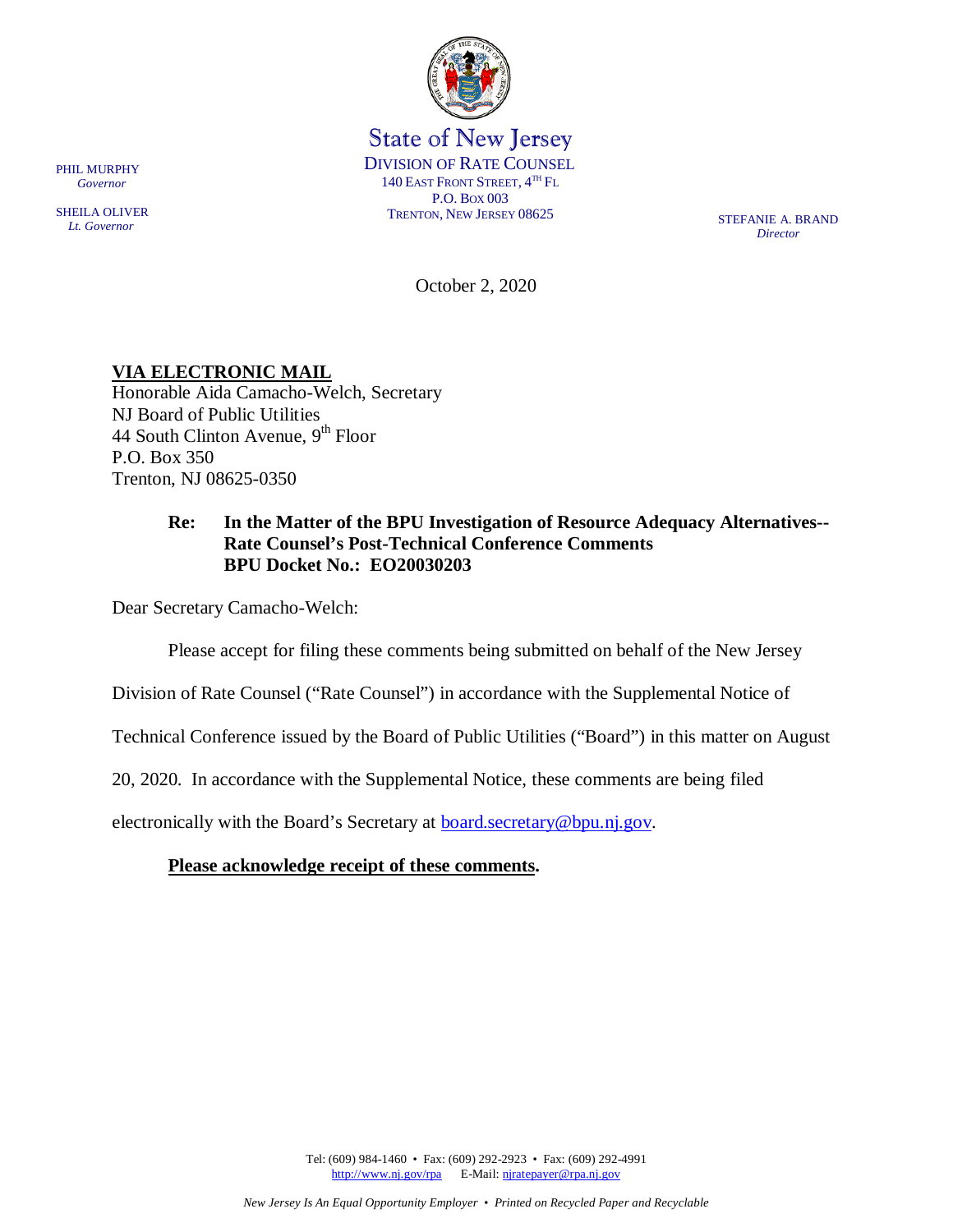

State of New Jersey DIVISION OF RATE COUNSEL 140 EAST FRONT STREET,  $4^{TH}$  Fl. P.O. BOX 003 TRENTON, NEW JERSEY 08625 STEFANIE A. BRAND

*Director*

October 2, 2020

# **VIA ELECTRONIC MAIL**

Honorable Aida Camacho-Welch, Secretary NJ Board of Public Utilities 44 South Clinton Avenue,  $9<sup>th</sup>$  Floor P.O. Box 350 Trenton, NJ 08625-0350

## **Re: In the Matter of the BPU Investigation of Resource Adequacy Alternatives-- Rate Counsel's Post-Technical Conference Comments BPU Docket No.: EO20030203**

Dear Secretary Camacho-Welch:

Please accept for filing these comments being submitted on behalf of the New Jersey

Division of Rate Counsel ("Rate Counsel") in accordance with the Supplemental Notice of

Technical Conference issued by the Board of Public Utilities ("Board") in this matter on August

20, 2020. In accordance with the Supplemental Notice, these comments are being filed

electronically with the Board's Secretary at **board.secretary@bpu.nj.gov.** 

### **Please acknowledge receipt of these comments.**

Tel: (609) 984-1460 • Fax: (609) 292-2923 • Fax: (609) 292-4991 [http://www.nj.gov/rpa](http://www.state.nj.us/publicadvocate/utility) E-Mail: [njratepayer@rpa.nj.gov](mailto:njratepayer@rpa.nj.gov)

PHIL MURPHY  *Governor*

SHEILA OLIVER  *Lt. Governor*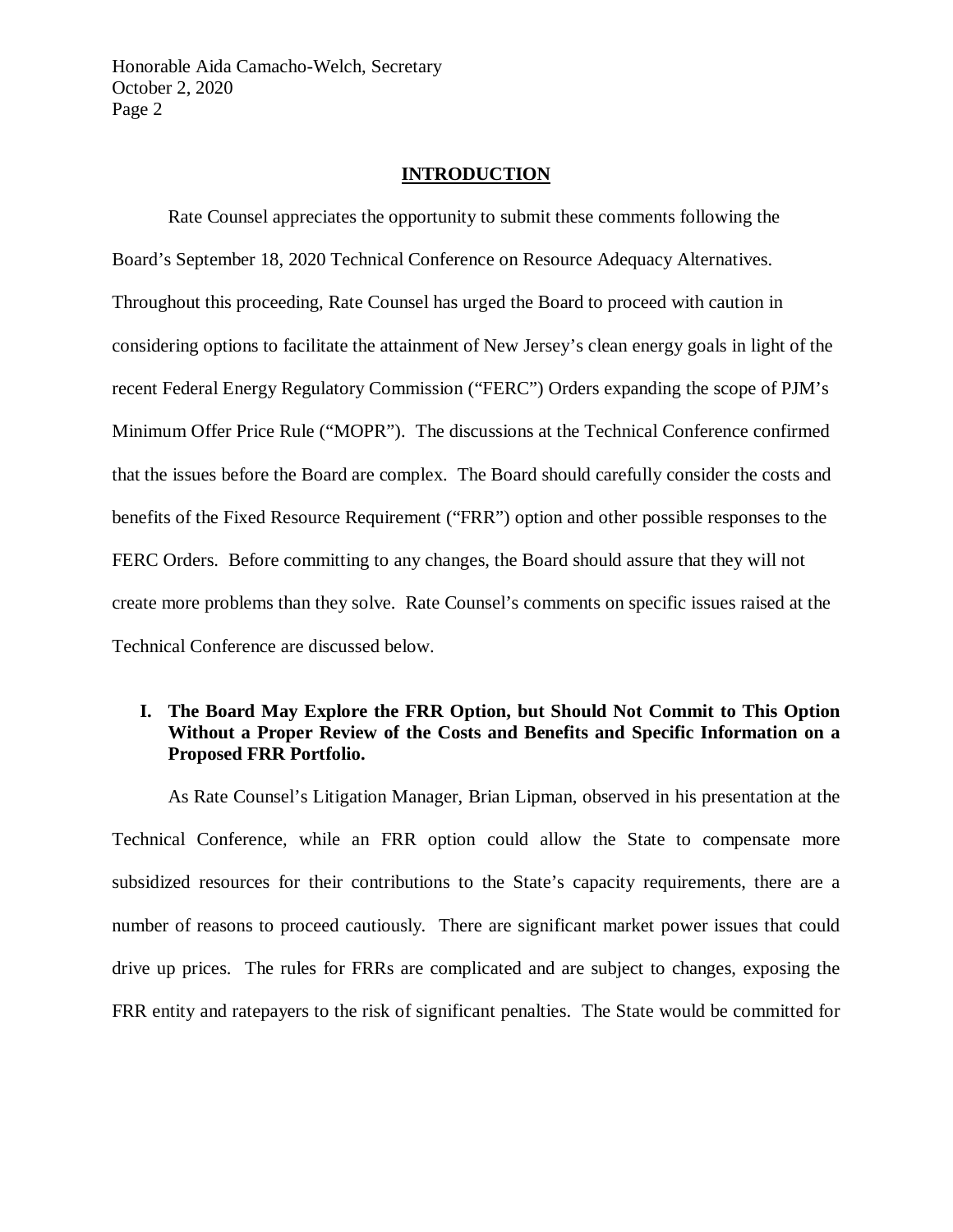Honorable Aida Camacho-Welch, Secretary October 2, 2020 Page 2

#### **INTRODUCTION**

Rate Counsel appreciates the opportunity to submit these comments following the Board's September 18, 2020 Technical Conference on Resource Adequacy Alternatives. Throughout this proceeding, Rate Counsel has urged the Board to proceed with caution in considering options to facilitate the attainment of New Jersey's clean energy goals in light of the recent Federal Energy Regulatory Commission ("FERC") Orders expanding the scope of PJM's Minimum Offer Price Rule ("MOPR"). The discussions at the Technical Conference confirmed that the issues before the Board are complex. The Board should carefully consider the costs and benefits of the Fixed Resource Requirement ("FRR") option and other possible responses to the FERC Orders. Before committing to any changes, the Board should assure that they will not create more problems than they solve. Rate Counsel's comments on specific issues raised at the Technical Conference are discussed below.

## **I. The Board May Explore the FRR Option, but Should Not Commit to This Option Without a Proper Review of the Costs and Benefits and Specific Information on a Proposed FRR Portfolio.**

As Rate Counsel's Litigation Manager, Brian Lipman, observed in his presentation at the Technical Conference, while an FRR option could allow the State to compensate more subsidized resources for their contributions to the State's capacity requirements, there are a number of reasons to proceed cautiously. There are significant market power issues that could drive up prices. The rules for FRRs are complicated and are subject to changes, exposing the FRR entity and ratepayers to the risk of significant penalties. The State would be committed for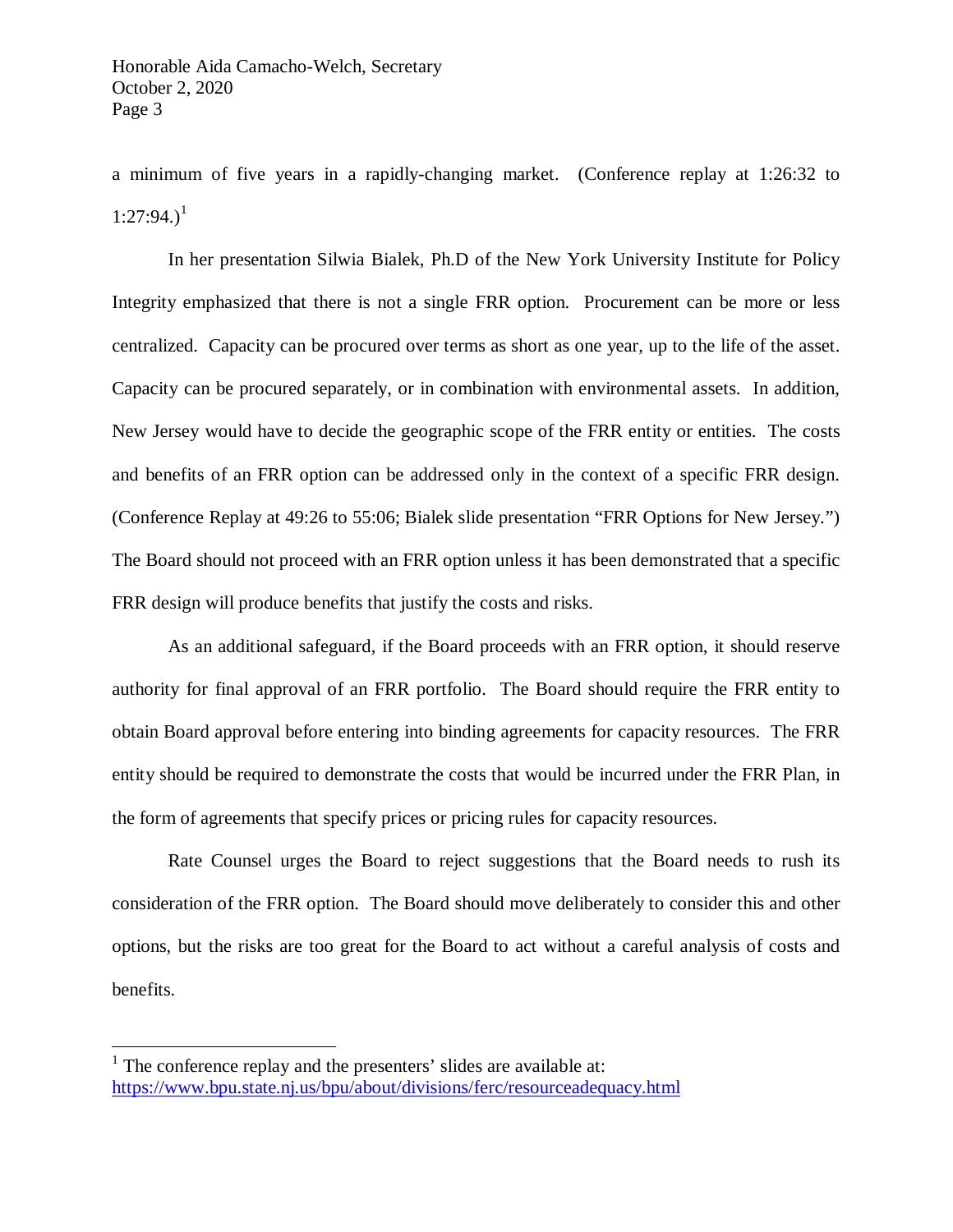a minimum of five years in a rapidly-changing market. (Conference replay at 1:26:32 to  $1:27:94.$  $1:27:94.$ <sup>1</sup>

In her presentation Silwia Bialek, Ph.D of the New York University Institute for Policy Integrity emphasized that there is not a single FRR option. Procurement can be more or less centralized. Capacity can be procured over terms as short as one year, up to the life of the asset. Capacity can be procured separately, or in combination with environmental assets. In addition, New Jersey would have to decide the geographic scope of the FRR entity or entities. The costs and benefits of an FRR option can be addressed only in the context of a specific FRR design. (Conference Replay at 49:26 to 55:06; Bialek slide presentation "FRR Options for New Jersey.") The Board should not proceed with an FRR option unless it has been demonstrated that a specific FRR design will produce benefits that justify the costs and risks.

As an additional safeguard, if the Board proceeds with an FRR option, it should reserve authority for final approval of an FRR portfolio. The Board should require the FRR entity to obtain Board approval before entering into binding agreements for capacity resources. The FRR entity should be required to demonstrate the costs that would be incurred under the FRR Plan, in the form of agreements that specify prices or pricing rules for capacity resources.

Rate Counsel urges the Board to reject suggestions that the Board needs to rush its consideration of the FRR option. The Board should move deliberately to consider this and other options, but the risks are too great for the Board to act without a careful analysis of costs and benefits.

<span id="page-2-0"></span> $<sup>1</sup>$  The conference replay and the presenters' slides are available at:</sup> <https://www.bpu.state.nj.us/bpu/about/divisions/ferc/resourceadequacy.html>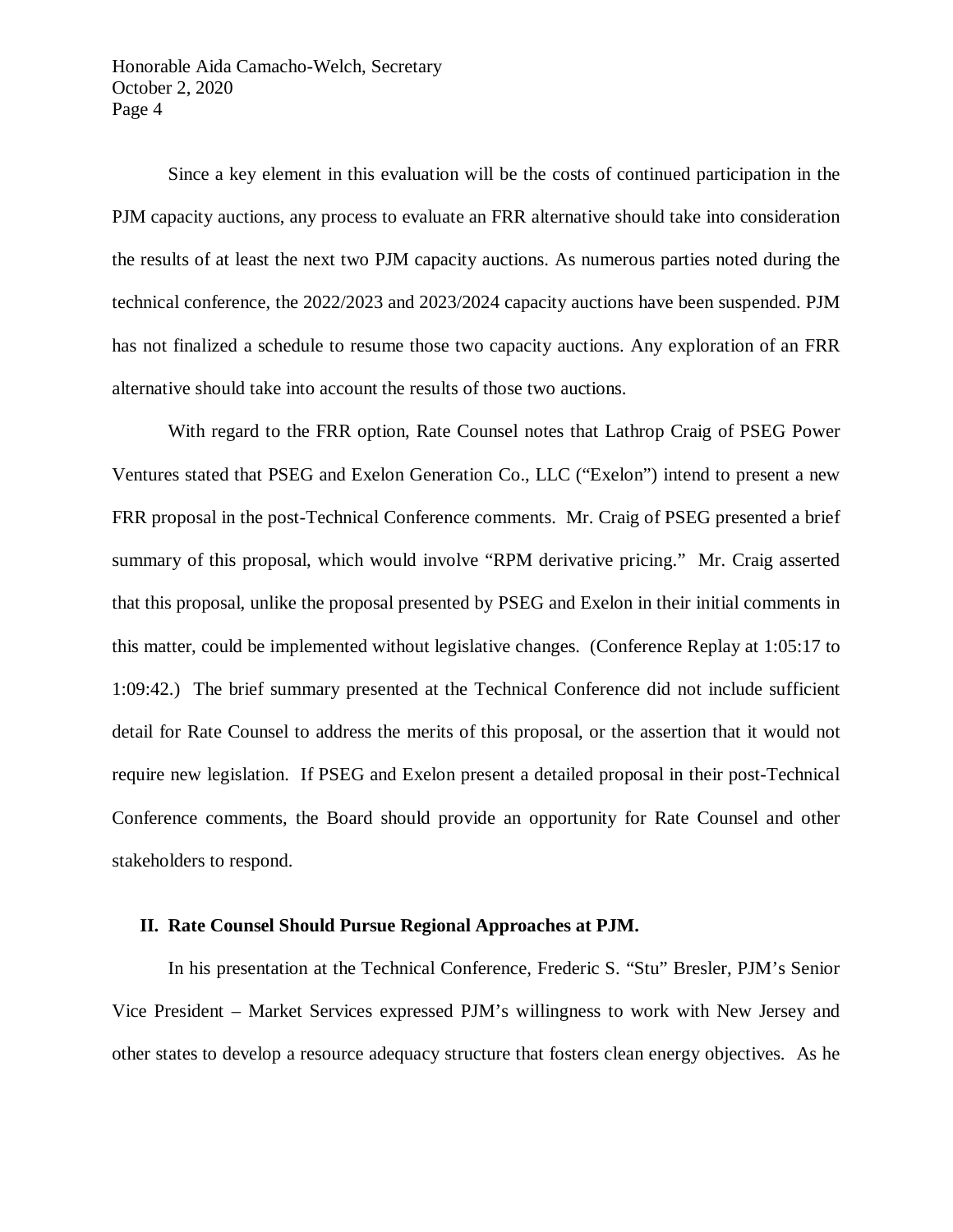Honorable Aida Camacho-Welch, Secretary October 2, 2020 Page 4

Since a key element in this evaluation will be the costs of continued participation in the PJM capacity auctions, any process to evaluate an FRR alternative should take into consideration the results of at least the next two PJM capacity auctions. As numerous parties noted during the technical conference, the 2022/2023 and 2023/2024 capacity auctions have been suspended. PJM has not finalized a schedule to resume those two capacity auctions. Any exploration of an FRR alternative should take into account the results of those two auctions.

With regard to the FRR option, Rate Counsel notes that Lathrop Craig of PSEG Power Ventures stated that PSEG and Exelon Generation Co., LLC ("Exelon") intend to present a new FRR proposal in the post-Technical Conference comments. Mr. Craig of PSEG presented a brief summary of this proposal, which would involve "RPM derivative pricing." Mr. Craig asserted that this proposal, unlike the proposal presented by PSEG and Exelon in their initial comments in this matter, could be implemented without legislative changes. (Conference Replay at 1:05:17 to 1:09:42.) The brief summary presented at the Technical Conference did not include sufficient detail for Rate Counsel to address the merits of this proposal, or the assertion that it would not require new legislation. If PSEG and Exelon present a detailed proposal in their post-Technical Conference comments, the Board should provide an opportunity for Rate Counsel and other stakeholders to respond.

#### **II. Rate Counsel Should Pursue Regional Approaches at PJM.**

In his presentation at the Technical Conference, Frederic S. "Stu" Bresler, PJM's Senior Vice President – Market Services expressed PJM's willingness to work with New Jersey and other states to develop a resource adequacy structure that fosters clean energy objectives. As he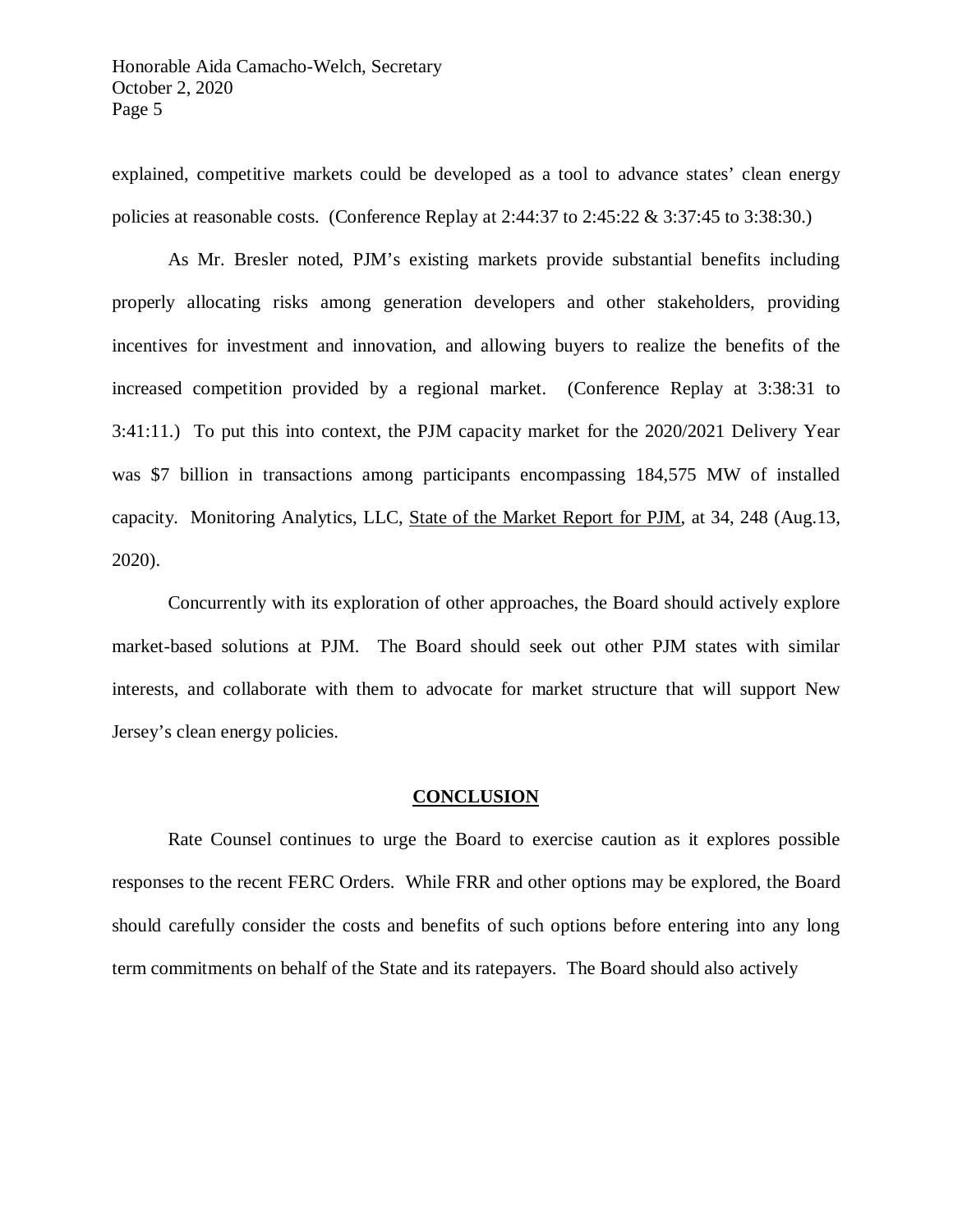explained, competitive markets could be developed as a tool to advance states' clean energy policies at reasonable costs. (Conference Replay at 2:44:37 to 2:45:22 & 3:37:45 to 3:38:30.)

As Mr. Bresler noted, PJM's existing markets provide substantial benefits including properly allocating risks among generation developers and other stakeholders, providing incentives for investment and innovation, and allowing buyers to realize the benefits of the increased competition provided by a regional market. (Conference Replay at 3:38:31 to 3:41:11.) To put this into context, the PJM capacity market for the 2020/2021 Delivery Year was \$7 billion in transactions among participants encompassing 184,575 MW of installed capacity. Monitoring Analytics, LLC, State of the Market Report for PJM, at 34, 248 (Aug.13, 2020).

Concurrently with its exploration of other approaches, the Board should actively explore market-based solutions at PJM. The Board should seek out other PJM states with similar interests, and collaborate with them to advocate for market structure that will support New Jersey's clean energy policies.

#### **CONCLUSION**

Rate Counsel continues to urge the Board to exercise caution as it explores possible responses to the recent FERC Orders. While FRR and other options may be explored, the Board should carefully consider the costs and benefits of such options before entering into any long term commitments on behalf of the State and its ratepayers. The Board should also actively